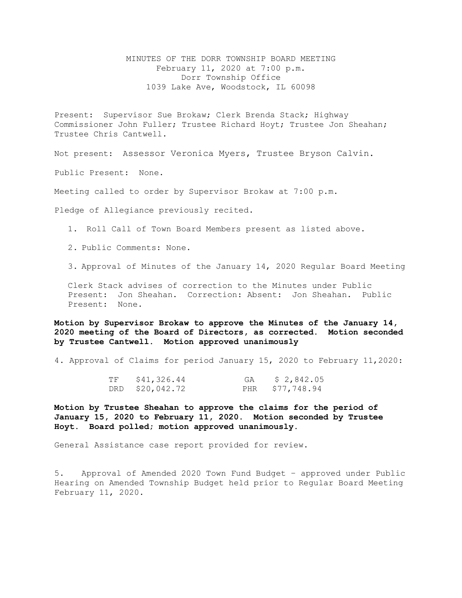MINUTES OF THE DORR TOWNSHIP BOARD MEETING February 11, 2020 at 7:00 p.m. Dorr Township Office 1039 Lake Ave, Woodstock, IL 60098

Present: Supervisor Sue Brokaw; Clerk Brenda Stack; Highway Commissioner John Fuller; Trustee Richard Hoyt; Trustee Jon Sheahan; Trustee Chris Cantwell.

Not present: Assessor Veronica Myers, Trustee Bryson Calvin.

Public Present: None.

Meeting called to order by Supervisor Brokaw at 7:00 p.m.

Pledge of Allegiance previously recited.

1. Roll Call of Town Board Members present as listed above.

- 2. Public Comments: None.
- 3. Approval of Minutes of the January 14, 2020 Regular Board Meeting

Clerk Stack advises of correction to the Minutes under Public Present: Jon Sheahan. Correction: Absent: Jon Sheahan. Public Present: None.

**Motion by Supervisor Brokaw to approve the Minutes of the January 14, 2020 meeting of the Board of Directors, as corrected. Motion seconded by Trustee Cantwell. Motion approved unanimously**

4. Approval of Claims for period January 15, 2020 to February 11,2020:

| TF | \$41,326.44     | GA | \$2,842.05      |
|----|-----------------|----|-----------------|
|    | DRD \$20,042.72 |    | PHR \$77,748.94 |

**Motion by Trustee Sheahan to approve the claims for the period of January 15, 2020 to February 11, 2020. Motion seconded by Trustee Hoyt. Board polled; motion approved unanimously.**

General Assistance case report provided for review.

5. Approval of Amended 2020 Town Fund Budget – approved under Public Hearing on Amended Township Budget held prior to Regular Board Meeting February 11, 2020.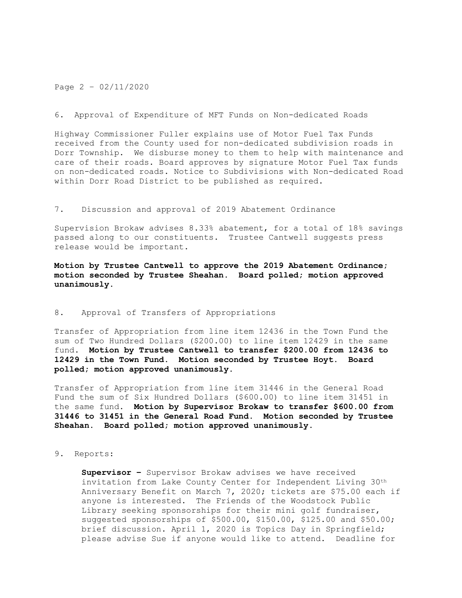## Page 2 – 02/11/2020

### 6. Approval of Expenditure of MFT Funds on Non-dedicated Roads

Highway Commissioner Fuller explains use of Motor Fuel Tax Funds received from the County used for non-dedicated subdivision roads in Dorr Township. We disburse money to them to help with maintenance and care of their roads. Board approves by signature Motor Fuel Tax funds on non-dedicated roads. Notice to Subdivisions with Non-dedicated Road within Dorr Road District to be published as required.

## 7. Discussion and approval of 2019 Abatement Ordinance

Supervision Brokaw advises 8.33% abatement, for a total of 18% savings passed along to our constituents. Trustee Cantwell suggests press release would be important.

# **Motion by Trustee Cantwell to approve the 2019 Abatement Ordinance; motion seconded by Trustee Sheahan. Board polled; motion approved unanimously.**

### 8. Approval of Transfers of Appropriations

Transfer of Appropriation from line item 12436 in the Town Fund the sum of Two Hundred Dollars (\$200.00) to line item 12429 in the same fund. **Motion by Trustee Cantwell to transfer \$200.00 from 12436 to 12429 in the Town Fund. Motion seconded by Trustee Hoyt. Board polled; motion approved unanimously.**

Transfer of Appropriation from line item 31446 in the General Road Fund the sum of Six Hundred Dollars (\$600.00) to line item 31451 in the same fund. **Motion by Supervisor Brokaw to transfer \$600.00 from 31446 to 31451 in the General Road Fund. Motion seconded by Trustee Sheahan. Board polled; motion approved unanimously.**

## 9. Reports:

**Supervisor –** Supervisor Brokaw advises we have received invitation from Lake County Center for Independent Living 30th Anniversary Benefit on March 7, 2020; tickets are \$75.00 each if anyone is interested. The Friends of the Woodstock Public Library seeking sponsorships for their mini golf fundraiser, suggested sponsorships of \$500.00, \$150.00, \$125.00 and \$50.00; brief discussion. April 1, 2020 is Topics Day in Springfield; please advise Sue if anyone would like to attend. Deadline for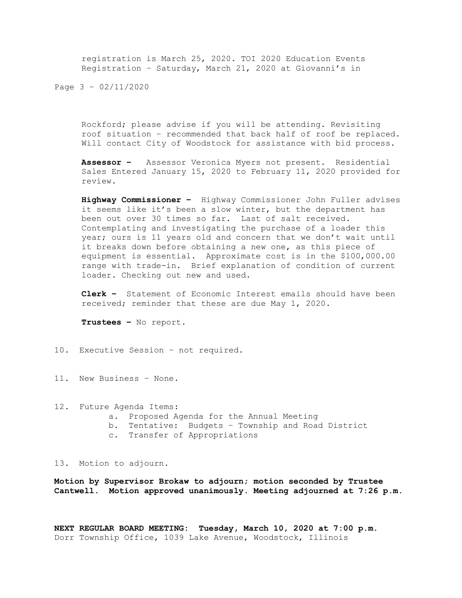registration is March 25, 2020. TOI 2020 Education Events Registration – Saturday, March 21, 2020 at Giovanni's in

Page 3 – 02/11/2020

Rockford; please advise if you will be attending. Revisiting roof situation – recommended that back half of roof be replaced. Will contact City of Woodstock for assistance with bid process.

**Assessor –** Assessor Veronica Myers not present. Residential Sales Entered January 15, 2020 to February 11, 2020 provided for review.

**Highway Commissioner –** Highway Commissioner John Fuller advises it seems like it's been a slow winter, but the department has been out over 30 times so far. Last of salt received. Contemplating and investigating the purchase of a loader this year; ours is 11 years old and concern that we don't wait until it breaks down before obtaining a new one, as this piece of equipment is essential. Approximate cost is in the \$100,000.00 range with trade-in. Brief explanation of condition of current loader. Checking out new and used.

**Clerk –** Statement of Economic Interest emails should have been received; reminder that these are due May 1, 2020.

**Trustees –** No report.

- 10. Executive Session not required.
- 11. New Business None.
- 12. Future Agenda Items: a. Proposed Agenda for the Annual Meeting b. Tentative: Budgets – Township and Road District c. Transfer of Appropriations

13. Motion to adjourn.

**Motion by Supervisor Brokaw to adjourn; motion seconded by Trustee Cantwell. Motion approved unanimously. Meeting adjourned at 7:26 p.m.**

**NEXT REGULAR BOARD MEETING: Tuesday, March 10, 2020 at 7:00 p.m.** Dorr Township Office, 1039 Lake Avenue, Woodstock, Illinois